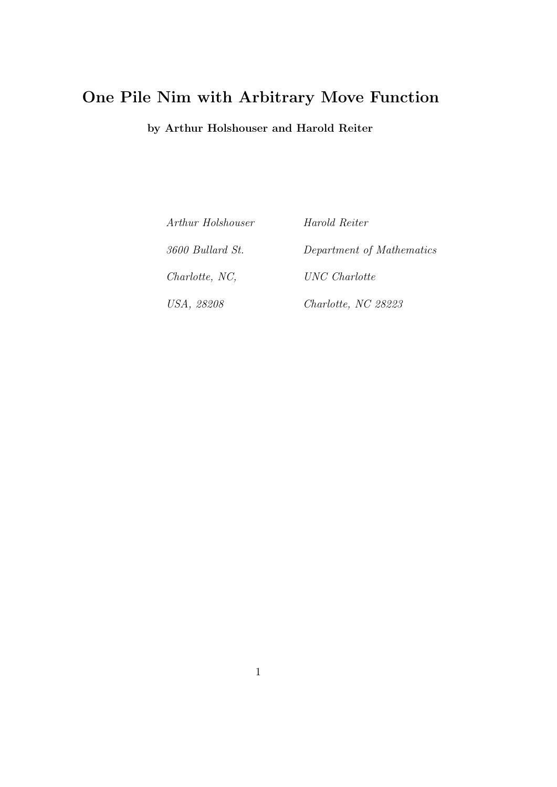## One Pile Nim with Arbitrary Move Function

by Arthur Holshouser and Harold Reiter

Arthur Holshouser 3600 Bullard St. Charlotte, NC, USA, 28208

Harold Reiter Department of Mathematics UNC Charlotte Charlotte, NC 28223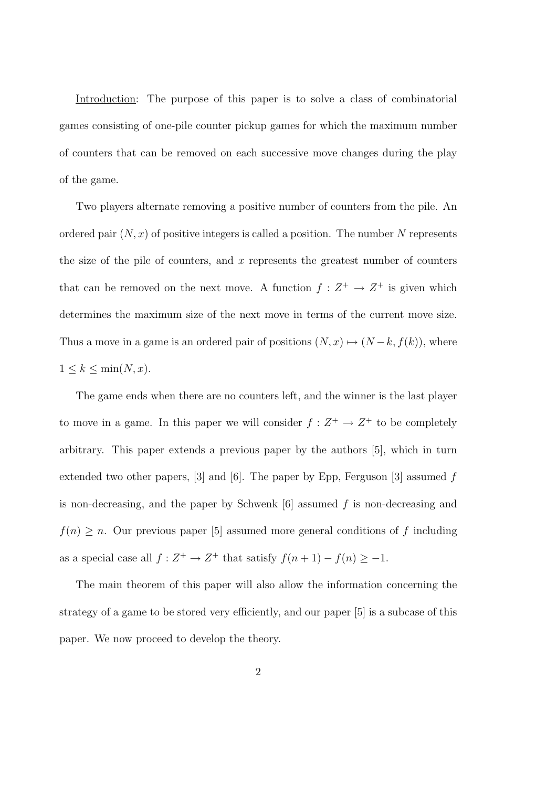Introduction: The purpose of this paper is to solve a class of combinatorial games consisting of one-pile counter pickup games for which the maximum number of counters that can be removed on each successive move changes during the play of the game.

Two players alternate removing a positive number of counters from the pile. An ordered pair  $(N, x)$  of positive integers is called a position. The number N represents the size of the pile of counters, and  $x$  represents the greatest number of counters that can be removed on the next move. A function  $f: Z^+ \to Z^+$  is given which determines the maximum size of the next move in terms of the current move size. Thus a move in a game is an ordered pair of positions  $(N, x) \mapsto (N - k, f(k))$ , where  $1 \leq k \leq \min(N, x).$ 

The game ends when there are no counters left, and the winner is the last player to move in a game. In this paper we will consider  $f: Z^+ \to Z^+$  to be completely arbitrary. This paper extends a previous paper by the authors [5], which in turn extended two other papers,  $\begin{bmatrix} 3 \end{bmatrix}$  and  $\begin{bmatrix} 6 \end{bmatrix}$ . The paper by Epp, Ferguson  $\begin{bmatrix} 3 \end{bmatrix}$  assumed f is non-decreasing, and the paper by Schwenk  $[6]$  assumed f is non-decreasing and  $f(n) \geq n$ . Our previous paper [5] assumed more general conditions of f including as a special case all  $f: Z^+ \to Z^+$  that satisfy  $f(n+1) - f(n) \ge -1$ .

The main theorem of this paper will also allow the information concerning the strategy of a game to be stored very efficiently, and our paper [5] is a subcase of this paper. We now proceed to develop the theory.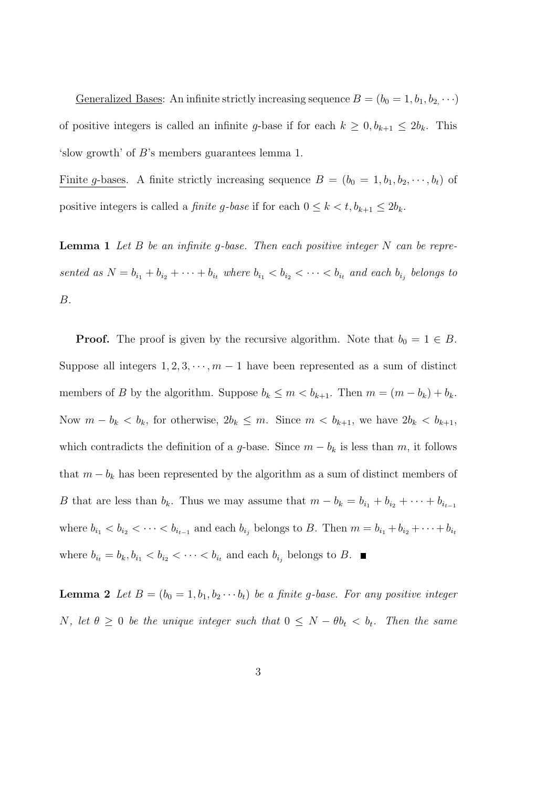Generalized Bases: An infinite strictly increasing sequence  $B = (b_0 = 1, b_1, b_2, \cdots)$ of positive integers is called an infinite g-base if for each  $k \geq 0, b_{k+1} \leq 2b_k$ . This 'slow growth' of B's members guarantees lemma 1.

Finite g-bases. A finite strictly increasing sequence  $B = (b_0 = 1, b_1, b_2, \dots, b_t)$  of positive integers is called a *finite g-base* if for each  $0 \le k < t, b_{k+1} \le 2b_k$ .

**Lemma 1** Let  $B$  be an infinite g-base. Then each positive integer  $N$  can be represented as  $N = b_{i_1} + b_{i_2} + \cdots + b_{i_t}$  where  $b_{i_1} < b_{i_2} < \cdots < b_{i_t}$  and each  $b_{i_j}$  belongs to B.

**Proof.** The proof is given by the recursive algorithm. Note that  $b_0 = 1 \in B$ . Suppose all integers  $1, 2, 3, \dots, m-1$  have been represented as a sum of distinct members of B by the algorithm. Suppose  $b_k \le m < b_{k+1}$ . Then  $m = (m - b_k) + b_k$ . Now  $m - b_k < b_k$ , for otherwise,  $2b_k \leq m$ . Since  $m < b_{k+1}$ , we have  $2b_k < b_{k+1}$ , which contradicts the definition of a g-base. Since  $m - b_k$  is less than m, it follows that  $m - b_k$  has been represented by the algorithm as a sum of distinct members of B that are less than  $b_k$ . Thus we may assume that  $m - b_k = b_{i_1} + b_{i_2} + \cdots + b_{i_{t-1}}$ where  $b_{i_1} < b_{i_2} < \cdots < b_{i_{t-1}}$  and each  $b_{i_j}$  belongs to B. Then  $m = b_{i_1} + b_{i_2} + \cdots + b_{i_t}$ where  $b_{i_t} = b_k, b_{i_1} < b_{i_2} < \cdots < b_{i_t}$  and each  $b_{i_j}$  belongs to B.

**Lemma 2** Let  $B = (b_0 = 1, b_1, b_2 \cdots b_t)$  be a finite g-base. For any positive integer N, let  $\theta \geq 0$  be the unique integer such that  $0 \leq N - \theta b_t < b_t$ . Then the same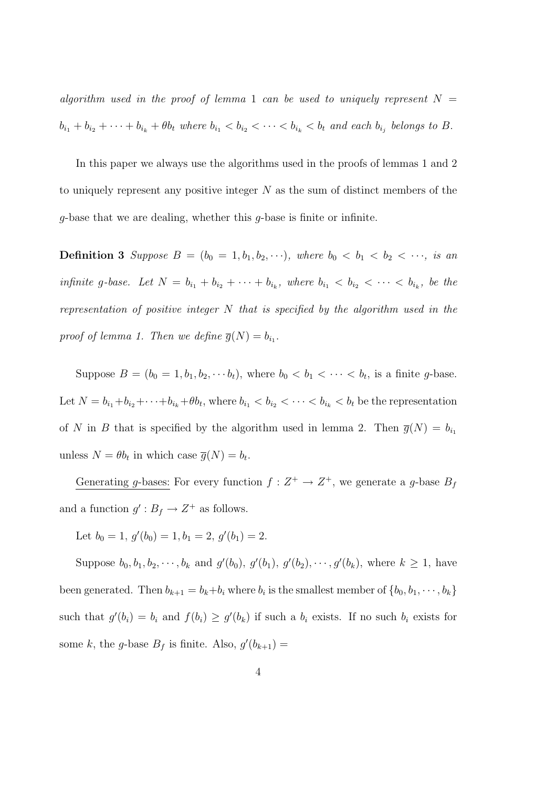algorithm used in the proof of lemma 1 can be used to uniquely represent  $N =$  $b_{i_1} + b_{i_2} + \cdots + b_{i_k} + \theta b_t$  where  $b_{i_1} < b_{i_2} < \cdots < b_{i_k} < b_t$  and each  $b_{i_j}$  belongs to B.

In this paper we always use the algorithms used in the proofs of lemmas 1 and 2 to uniquely represent any positive integer  $N$  as the sum of distinct members of the  $q$ -base that we are dealing, whether this  $q$ -base is finite or infinite.

**Definition 3** Suppose  $B = (b_0 = 1, b_1, b_2, \cdots)$ , where  $b_0 < b_1 < b_2 < \cdots$ , is an infinite g-base. Let  $N = b_{i_1} + b_{i_2} + \cdots + b_{i_k}$ , where  $b_{i_1} < b_{i_2} < \cdots < b_{i_k}$ , be the representation of positive integer  $N$  that is specified by the algorithm used in the proof of lemma 1. Then we define  $\overline{g}(N) = b_{i_1}$ .

Suppose  $B = (b_0 = 1, b_1, b_2, \dots, b_t)$ , where  $b_0 < b_1 < \dots < b_t$ , is a finite g-base. Let  $N = b_{i_1} + b_{i_2} + \cdots + b_{i_k} + \theta b_t$ , where  $b_{i_1} < b_{i_2} < \cdots < b_{i_k} < b_t$  be the representation of N in B that is specified by the algorithm used in lemma 2. Then  $\overline{g}(N) = b_{i_1}$ unless  $N = \theta b_t$  in which case  $\overline{g}(N) = b_t$ .

Generating g-bases: For every function  $f: Z^+ \to Z^+$ , we generate a g-base  $B_f$ and a function  $g': B_f \to Z^+$  as follows.

Let  $b_0 = 1$ ,  $g'(b_0) = 1$ ,  $b_1 = 2$ ,  $g'(b_1) = 2$ .

Suppose  $b_0, b_1, b_2, \dots, b_k$  and  $g'(b_0), g'(b_1), g'(b_2), \dots, g'(b_k)$ , where  $k \ge 1$ , have been generated. Then  $b_{k+1} = b_k + b_i$  where  $b_i$  is the smallest member of  $\{b_0, b_1, \dots, b_k\}$ such that  $g'(b_i) = b_i$  and  $f(b_i) \geq g'(b_k)$  if such a  $b_i$  exists. If no such  $b_i$  exists for some k, the g-base  $B_f$  is finite. Also,  $g'(b_{k+1}) =$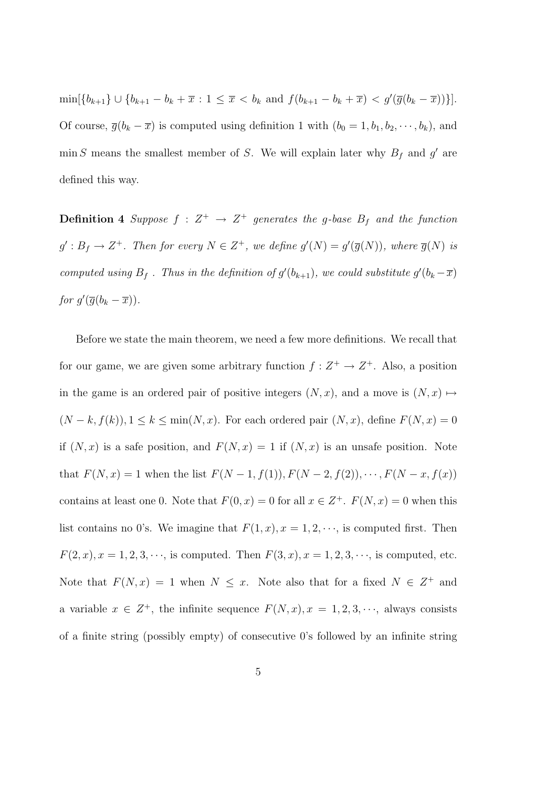$\min[\{b_{k+1}\} \cup \{b_{k+1} - b_k + \overline{x} : 1 \leq \overline{x} < b_k \text{ and } f(b_{k+1} - b_k + \overline{x}) < g'(\overline{g}(b_k - \overline{x}))\}].$ Of course,  $\overline{g}(b_k - \overline{x})$  is computed using definition 1 with  $(b_0 = 1, b_1, b_2, \dots, b_k)$ , and min S means the smallest member of S. We will explain later why  $B_f$  and  $g'$  are defined this way.

**Definition 4** Suppose  $f: Z^+ \rightarrow Z^+$  generates the g-base  $B_f$  and the function  $g': B_f \to Z^+$ . Then for every  $N \in Z^+$ , we define  $g'(N) = g'(\overline{g}(N))$ , where  $\overline{g}(N)$  is computed using  $B_f$ . Thus in the definition of  $g'(b_{k+1})$ , we could substitute  $g'(b_k - \overline{x})$ for  $g'(\overline{g}(b_k - \overline{x})).$ 

Before we state the main theorem, we need a few more definitions. We recall that for our game, we are given some arbitrary function  $f: Z^+ \to Z^+$ . Also, a position in the game is an ordered pair of positive integers  $(N, x)$ , and a move is  $(N, x) \mapsto$  $(N - k, f(k)), 1 \leq k \leq \min(N, x)$ . For each ordered pair  $(N, x)$ , define  $F(N, x) = 0$ if  $(N, x)$  is a safe position, and  $F(N, x) = 1$  if  $(N, x)$  is an unsafe position. Note that  $F(N, x) = 1$  when the list  $F(N - 1, f(1)), F(N - 2, f(2)), \cdots, F(N - x, f(x))$ contains at least one 0. Note that  $F(0, x) = 0$  for all  $x \in Z^+$ .  $F(N, x) = 0$  when this list contains no 0's. We imagine that  $F(1, x), x = 1, 2, \dots$ , is computed first. Then  $F(2, x), x = 1, 2, 3, \dots$ , is computed. Then  $F(3, x), x = 1, 2, 3, \dots$ , is computed, etc. Note that  $F(N, x) = 1$  when  $N \leq x$ . Note also that for a fixed  $N \in \mathbb{Z}^+$  and a variable  $x \in Z^+$ , the infinite sequence  $F(N, x), x = 1, 2, 3, \dots$ , always consists of a finite string (possibly empty) of consecutive 0's followed by an infinite string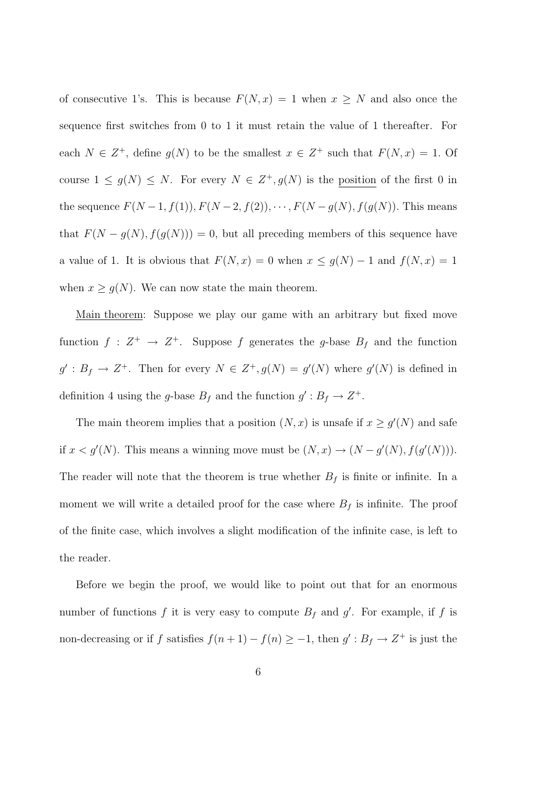of consecutive 1's. This is because  $F(N, x) = 1$  when  $x \geq N$  and also once the sequence first switches from 0 to 1 it must retain the value of 1 thereafter. For each  $N \in \mathbb{Z}^+$ , define  $g(N)$  to be the smallest  $x \in \mathbb{Z}^+$  such that  $F(N, x) = 1$ . Of course  $1 \leq g(N) \leq N$ . For every  $N \in Z^+, g(N)$  is the position of the first 0 in the sequence  $F(N-1, f(1)), F(N-2, f(2)), \cdots, F(N-g(N), f(g(N))$ . This means that  $F(N - g(N), f(g(N))) = 0$ , but all preceding members of this sequence have a value of 1. It is obvious that  $F(N, x) = 0$  when  $x \le g(N) - 1$  and  $f(N, x) = 1$ when  $x \ge g(N)$ . We can now state the main theorem.

Main theorem: Suppose we play our game with an arbitrary but fixed move function  $f: Z^+ \to Z^+$ . Suppose f generates the g-base  $B_f$  and the function  $g': B_f \to Z^+$ . Then for every  $N \in Z^+, g(N) = g'(N)$  where  $g'(N)$  is defined in definition 4 using the g-base  $B_f$  and the function  $g' : B_f \to Z^+$ .

The main theorem implies that a position  $(N, x)$  is unsafe if  $x \ge g'(N)$  and safe if  $x < g'(N)$ . This means a winning move must be  $(N, x) \to (N - g'(N), f(g'(N)))$ . The reader will note that the theorem is true whether  $B_f$  is finite or infinite. In a moment we will write a detailed proof for the case where  $B_f$  is infinite. The proof of the finite case, which involves a slight modification of the infinite case, is left to the reader.

Before we begin the proof, we would like to point out that for an enormous number of functions f it is very easy to compute  $B_f$  and  $g'$ . For example, if f is non-decreasing or if f satisfies  $f(n+1) - f(n) \geq -1$ , then  $g' : B_f \to Z^+$  is just the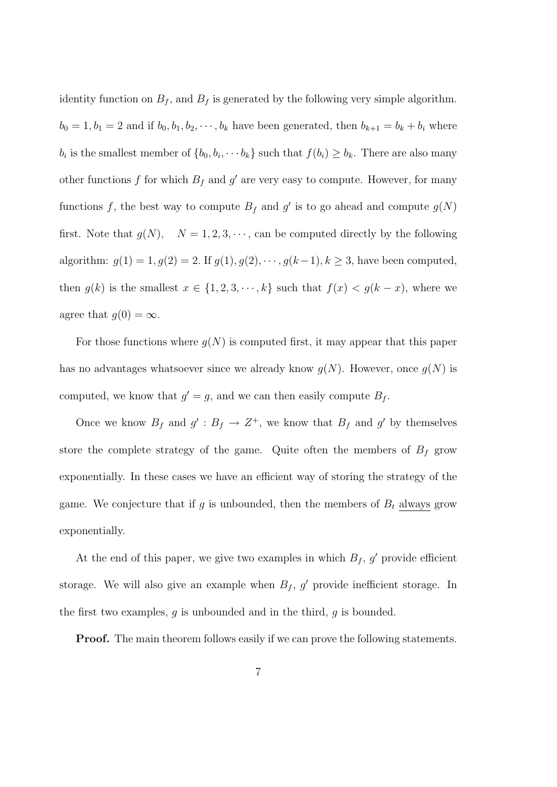identity function on  $B_f$ , and  $B_f$  is generated by the following very simple algorithm.  $b_0 = 1, b_1 = 2$  and if  $b_0, b_1, b_2, \dots, b_k$  have been generated, then  $b_{k+1} = b_k + b_i$  where  $b_i$  is the smallest member of  $\{b_0, b_i, \dotsb b_k\}$  such that  $f(b_i) \geq b_k$ . There are also many other functions f for which  $B_f$  and  $g'$  are very easy to compute. However, for many functions f, the best way to compute  $B_f$  and g' is to go ahead and compute  $g(N)$ first. Note that  $g(N)$ ,  $N = 1, 2, 3, \dots$ , can be computed directly by the following algorithm:  $g(1) = 1, g(2) = 2$ . If  $g(1), g(2), \dots, g(k-1), k \ge 3$ , have been computed, then  $g(k)$  is the smallest  $x \in \{1, 2, 3, \dots, k\}$  such that  $f(x) < g(k - x)$ , where we agree that  $g(0) = \infty$ .

For those functions where  $q(N)$  is computed first, it may appear that this paper has no advantages whatsoever since we already know  $g(N)$ . However, once  $g(N)$  is computed, we know that  $g' = g$ , and we can then easily compute  $B_f$ .

Once we know  $B_f$  and  $g' : B_f \to Z^+$ , we know that  $B_f$  and  $g'$  by themselves store the complete strategy of the game. Quite often the members of  $B_f$  grow exponentially. In these cases we have an efficient way of storing the strategy of the game. We conjecture that if g is unbounded, then the members of  $B_t$  always grow exponentially.

At the end of this paper, we give two examples in which  $B_f$ , g' provide efficient storage. We will also give an example when  $B_f$ , g' provide inefficient storage. In the first two examples,  $g$  is unbounded and in the third,  $g$  is bounded.

**Proof.** The main theorem follows easily if we can prove the following statements.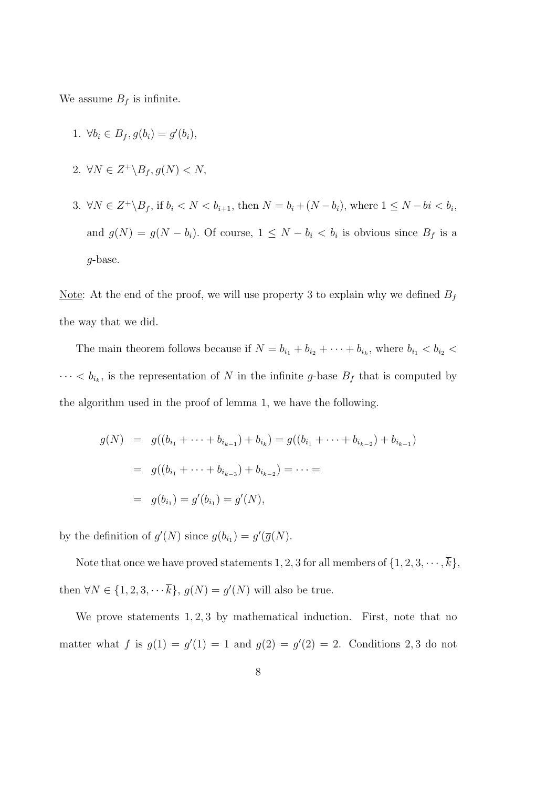We assume  $B_f$  is infinite.

- 1.  $\forall b_i \in B_f, g(b_i) = g'(b_i),$
- 2.  $\forall N \in Z^+ \backslash B_f, g(N) < N$ ,
- 3.  $\forall N \in \mathbb{Z}^+ \backslash B_f$ , if  $b_i < N < b_{i+1}$ , then  $N = b_i + (N b_i)$ , where  $1 \le N bi < b_i$ , and  $g(N) = g(N - b_i)$ . Of course,  $1 \leq N - b_i < b_i$  is obvious since  $B_f$  is a g-base.

Note: At the end of the proof, we will use property 3 to explain why we defined  $B_f$ the way that we did.

The main theorem follows because if  $N = b_{i_1} + b_{i_2} + \cdots + b_{i_k}$ , where  $b_{i_1} < b_{i_2} <$  $\cdots < b_{i_k}$ , is the representation of N in the infinite g-base  $B_f$  that is computed by the algorithm used in the proof of lemma 1, we have the following.

$$
g(N) = g((b_{i_1} + \dots + b_{i_{k-1}}) + b_{i_k}) = g((b_{i_1} + \dots + b_{i_{k-2}}) + b_{i_{k-1}})
$$
  
=  $g((b_{i_1} + \dots + b_{i_{k-3}}) + b_{i_{k-2}}) = \dots =$   
=  $g(b_{i_1}) = g'(b_{i_1}) = g'(N),$ 

by the definition of  $g'(N)$  since  $g(b_{i_1}) = g'(\overline{g}(N))$ .

Note that once we have proved statements 1, 2, 3 for all members of  $\{1, 2, 3, \dots, \overline{k}\},\$ then  $\forall N \in \{1, 2, 3, \cdots \overline{k}\}, g(N) = g'(N)$  will also be true.

We prove statements  $1, 2, 3$  by mathematical induction. First, note that no matter what f is  $g(1) = g'(1) = 1$  and  $g(2) = g'(2) = 2$ . Conditions 2,3 do not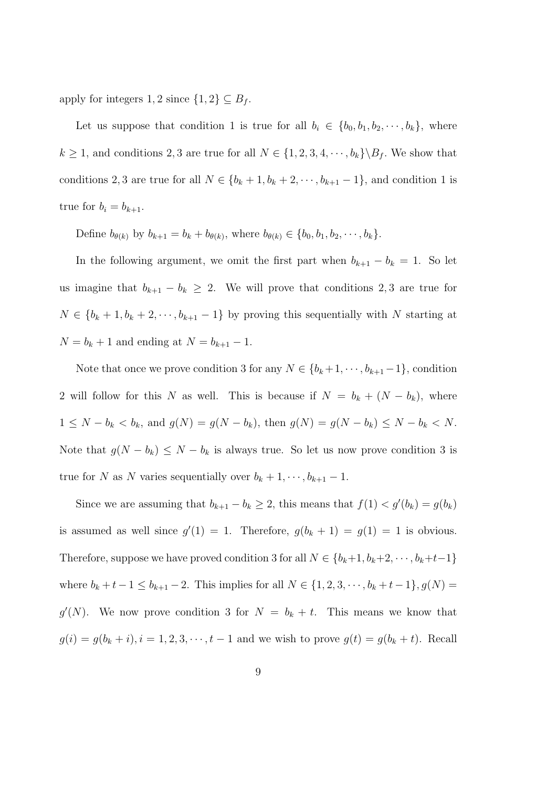apply for integers 1, 2 since  $\{1,2\} \subseteq B_f$ .

Let us suppose that condition 1 is true for all  $b_i \in \{b_0, b_1, b_2, \dots, b_k\}$ , where  $k \ge 1$ , and conditions 2, 3 are true for all  $N \in \{1, 2, 3, 4, \cdots, b_k\} \backslash B_f$ . We show that conditions 2, 3 are true for all  $N \in \{b_k + 1, b_k + 2, \dots, b_{k+1} - 1\}$ , and condition 1 is true for  $b_i = b_{k+1}$ .

Define  $b_{\theta(k)}$  by  $b_{k+1} = b_k + b_{\theta(k)}$ , where  $b_{\theta(k)} \in \{b_0, b_1, b_2, \dots, b_k\}.$ 

In the following argument, we omit the first part when  $b_{k+1} - b_k = 1$ . So let us imagine that  $b_{k+1} - b_k \geq 2$ . We will prove that conditions 2,3 are true for  $N \in \{b_k + 1, b_k + 2, \dots, b_{k+1} - 1\}$  by proving this sequentially with N starting at  $N = b_k + 1$  and ending at  $N = b_{k+1} - 1$ .

Note that once we prove condition 3 for any  $N \in \{b_k+1, \dots, b_{k+1}-1\}$ , condition 2 will follow for this N as well. This is because if  $N = b_k + (N - b_k)$ , where  $1 \le N - b_k < b_k$ , and  $g(N) = g(N - b_k)$ , then  $g(N) = g(N - b_k) \le N - b_k < N$ . Note that  $g(N - b_k) \leq N - b_k$  is always true. So let us now prove condition 3 is true for N as N varies sequentially over  $b_k + 1, \dots, b_{k+1} - 1$ .

Since we are assuming that  $b_{k+1} - b_k \ge 2$ , this means that  $f(1) < g'(b_k) = g(b_k)$ is assumed as well since  $g'(1) = 1$ . Therefore,  $g(b_k + 1) = g(1) = 1$  is obvious. Therefore, suppose we have proved condition 3 for all  $N \in \{b_k+1, b_k+2, \dots, b_k+t-1\}$ where  $b_k + t - 1 \le b_{k+1} - 2$ . This implies for all  $N \in \{1, 2, 3, \dots, b_k + t - 1\}, g(N) =$  $g'(N)$ . We now prove condition 3 for  $N = b_k + t$ . This means we know that  $g(i) = g(b_k + i), i = 1, 2, 3, \dots, t - 1$  and we wish to prove  $g(t) = g(b_k + t)$ . Recall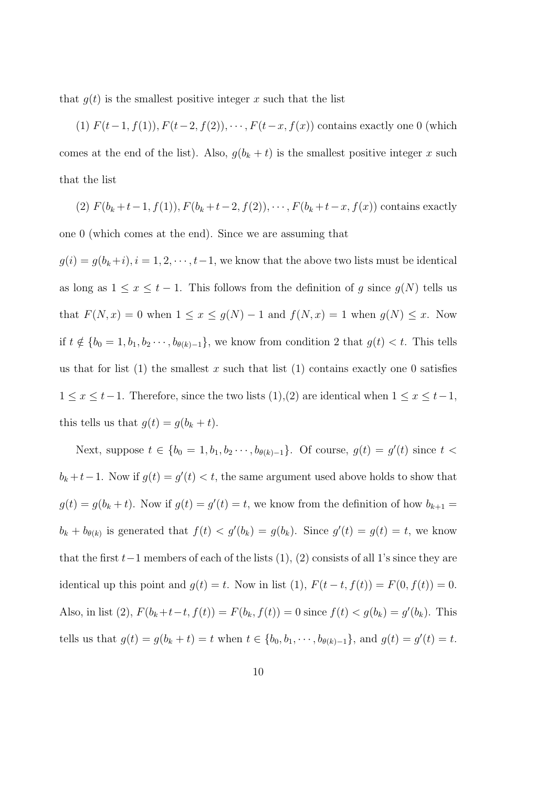that  $q(t)$  is the smallest positive integer x such that the list

(1)  $F(t-1, f(1)), F(t-2, f(2)), \cdots, F(t-x, f(x))$  contains exactly one 0 (which comes at the end of the list). Also,  $g(b_k + t)$  is the smallest positive integer x such that the list

(2) 
$$
F(b_k + t - 1, f(1)), F(b_k + t - 2, f(2)), \cdots, F(b_k + t - x, f(x))
$$
 contains exactly

one 0 (which comes at the end). Since we are assuming that

 $g(i) = g(b_k+i), i = 1, 2, \dots, t-1$ , we know that the above two lists must be identical as long as  $1 \le x \le t - 1$ . This follows from the definition of g since  $g(N)$  tells us that  $F(N, x) = 0$  when  $1 \le x \le g(N) - 1$  and  $f(N, x) = 1$  when  $g(N) \le x$ . Now if  $t \notin \{b_0 = 1, b_1, b_2 \cdots, b_{\theta(k)-1}\}\$ , we know from condition 2 that  $g(t) < t$ . This tells us that for list (1) the smallest x such that list (1) contains exactly one 0 satisfies  $1 \le x \le t-1$ . Therefore, since the two lists  $(1),(2)$  are identical when  $1 \le x \le t-1$ , this tells us that  $g(t) = g(b_k + t)$ .

Next, suppose  $t \in \{b_0 = 1, b_1, b_2 \cdots, b_{\theta(k)-1}\}\$ . Of course,  $g(t) = g'(t)$  since  $t$  <  $b_k + t - 1$ . Now if  $g(t) = g'(t) < t$ , the same argument used above holds to show that  $g(t) = g(b_k + t)$ . Now if  $g(t) = g'(t) = t$ , we know from the definition of how  $b_{k+1} =$  $b_k + b_{\theta(k)}$  is generated that  $f(t) < g'(b_k) = g(b_k)$ . Since  $g'(t) = g(t) = t$ , we know that the first  $t-1$  members of each of the lists  $(1)$ ,  $(2)$  consists of all 1's since they are identical up this point and  $g(t) = t$ . Now in list (1),  $F(t - t, f(t)) = F(0, f(t)) = 0$ . Also, in list (2),  $F(b_k+t-t, f(t)) = F(b_k, f(t)) = 0$  since  $f(t) < g(b_k) = g'(b_k)$ . This tells us that  $g(t) = g(b_k + t) = t$  when  $t \in \{b_0, b_1, \dots, b_{\theta(k)-1}\}\$ , and  $g(t) = g'(t) = t$ .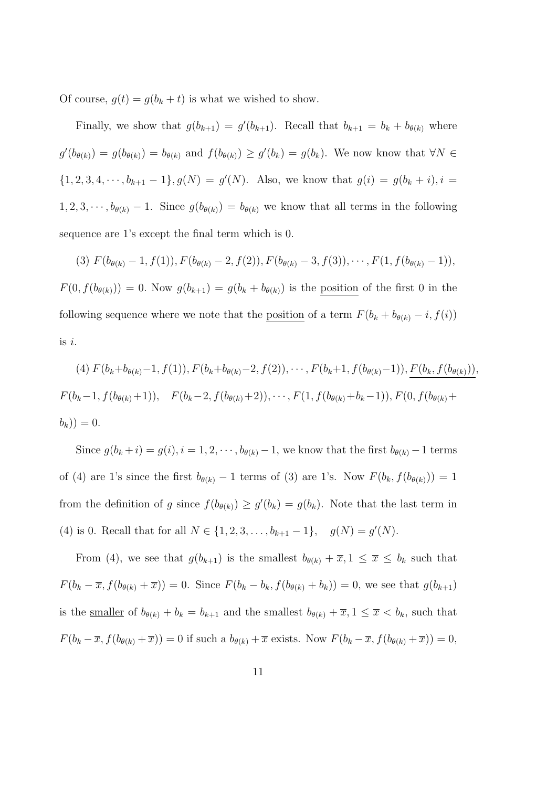Of course,  $g(t) = g(b_k + t)$  is what we wished to show.

Finally, we show that  $g(b_{k+1}) = g'(b_{k+1})$ . Recall that  $b_{k+1} = b_k + b_{\theta(k)}$  where  $g'(b_{\theta(k)}) = g(b_{\theta(k)}) = b_{\theta(k)}$  and  $f(b_{\theta(k)}) \geq g'(b_k) = g(b_k)$ . We now know that  $\forall N \in$  $\{1, 2, 3, 4, \cdots, b_{k+1} - 1\}, g(N) = g'(N)$ . Also, we know that  $g(i) = g(b_k + i), i =$  $1, 2, 3, \dots, b_{\theta(k)} - 1$ . Since  $g(b_{\theta(k)}) = b_{\theta(k)}$  we know that all terms in the following sequence are 1's except the final term which is 0.

(3)  $F(b_{\theta(k)}-1, f(1)), F(b_{\theta(k)}-2, f(2)), F(b_{\theta(k)}-3, f(3)), \cdots, F(1, f(b_{\theta(k)}-1)),$  $F(0, f(b_{\theta(k)})) = 0$ . Now  $g(b_{k+1}) = g(b_k + b_{\theta(k)})$  is the <u>position</u> of the first 0 in the following sequence where we note that the <u>position</u> of a term  $F(b_k + b_{\theta(k)} - i, f(i))$ is i.

$$
(4) \ F(b_k+b_{\theta(k)}-1, f(1)), F(b_k+b_{\theta(k)}-2, f(2)), \cdots, F(b_k+1, f(b_{\theta(k)}-1)), F(b_k, f(b_{\theta(k)})),
$$
  

$$
F(b_k-1, f(b_{\theta(k)}+1)), F(b_k-2, f(b_{\theta(k)}+2)), \cdots, F(1, f(b_{\theta(k)}+b_k-1)), F(0, f(b_{\theta(k)}+b_k)))=0.
$$

Since  $g(b_k + i) = g(i), i = 1, 2, \dots, b_{\theta(k)} - 1$ , we know that the first  $b_{\theta(k)} - 1$  terms of (4) are 1's since the first  $b_{\theta(k)} - 1$  terms of (3) are 1's. Now  $F(b_k, f(b_{\theta(k)})) = 1$ from the definition of g since  $f(b_{\theta(k)}) \geq g'(b_k) = g(b_k)$ . Note that the last term in (4) is 0. Recall that for all  $N \in \{1, 2, 3, ..., b_{k+1} - 1\}$ ,  $g(N) = g'(N)$ .

From (4), we see that  $g(b_{k+1})$  is the smallest  $b_{\theta(k)} + \overline{x}, 1 \leq \overline{x} \leq b_k$  such that  $F(b_k - \overline{x}, f(b_{\theta(k)} + \overline{x})) = 0$ . Since  $F(b_k - b_k, f(b_{\theta(k)} + b_k)) = 0$ , we see that  $g(b_{k+1})$ is the <u>smaller</u> of  $b_{\theta(k)} + b_k = b_{k+1}$  and the smallest  $b_{\theta(k)} + \overline{x}, 1 \leq \overline{x} < b_k$ , such that  $F(b_k - \overline{x}, f(b_{\theta(k)} + \overline{x})) = 0$  if such a  $b_{\theta(k)} + \overline{x}$  exists. Now  $F(b_k - \overline{x}, f(b_{\theta(k)} + \overline{x})) = 0$ ,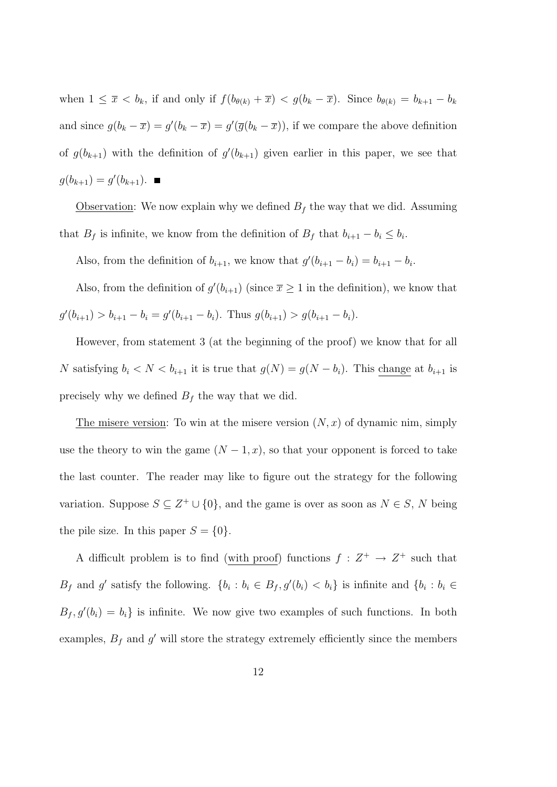when  $1 \leq \overline{x} < b_k$ , if and only if  $f(b_{\theta(k)} + \overline{x}) < g(b_k - \overline{x})$ . Since  $b_{\theta(k)} = b_{k+1} - b_k$ and since  $g(b_k - \overline{x}) = g'(b_k - \overline{x}) = g'(\overline{g}(b_k - \overline{x}))$ , if we compare the above definition of  $g(b_{k+1})$  with the definition of  $g'(b_{k+1})$  given earlier in this paper, we see that  $g(b_{k+1}) = g'(b_{k+1}).$ 

Observation: We now explain why we defined  $B_f$  the way that we did. Assuming that  $B_f$  is infinite, we know from the definition of  $B_f$  that  $b_{i+1} - b_i \leq b_i$ .

Also, from the definition of  $b_{i+1}$ , we know that  $g'(b_{i+1} - b_i) = b_{i+1} - b_i$ .

Also, from the definition of  $g'(b_{i+1})$  (since  $\bar{x} \geq 1$  in the definition), we know that  $g'(b_{i+1}) > b_{i+1} - b_i = g'(b_{i+1} - b_i)$ . Thus  $g(b_{i+1}) > g(b_{i+1} - b_i)$ .

However, from statement 3 (at the beginning of the proof) we know that for all N satisfying  $b_i < N < b_{i+1}$  it is true that  $g(N) = g(N - b_i)$ . This change at  $b_{i+1}$  is precisely why we defined  $B_f$  the way that we did.

The misere version: To win at the misere version  $(N, x)$  of dynamic nim, simply use the theory to win the game  $(N-1, x)$ , so that your opponent is forced to take the last counter. The reader may like to figure out the strategy for the following variation. Suppose  $S \subseteq Z^+ \cup \{0\}$ , and the game is over as soon as  $N \in S$ , N being the pile size. In this paper  $S = \{0\}$ .

A difficult problem is to find (with proof) functions  $f: Z^+ \to Z^+$  such that  $B_f$  and g' satisfy the following.  $\{b_i : b_i \in B_f, g'(b_i) < b_i\}$  is infinite and  $\{b_i : b_i \in B_f, g'(b_i) \le b_i\}$  $B_f, g'(b_i) = b_i$  is infinite. We now give two examples of such functions. In both examples,  $B_f$  and  $g'$  will store the strategy extremely efficiently since the members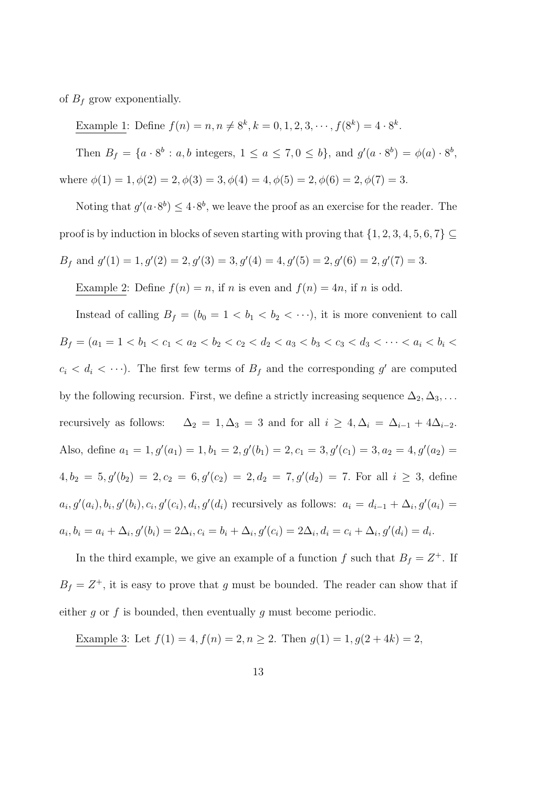of  $B_f$  grow exponentially.

Example 1: Define  $f(n) = n, n \neq 8^k, k = 0, 1, 2, 3, \dots, f(8^k) = 4 \cdot 8^k$ .

Then  $B_f = \{a \cdot 8^b : a, b \text{ integers}, 1 \le a \le 7, 0 \le b\}$ , and  $g'(a \cdot 8^b) = \phi(a) \cdot 8^b$ , where  $\phi(1) = 1, \phi(2) = 2, \phi(3) = 3, \phi(4) = 4, \phi(5) = 2, \phi(6) = 2, \phi(7) = 3.$ 

Noting that  $g'(a \cdot 8^b) \leq 4 \cdot 8^b$ , we leave the proof as an exercise for the reader. The proof is by induction in blocks of seven starting with proving that  $\{1,2,3,4,5,6,7\}\subseteq$  $B_f$  and  $g'(1) = 1, g'(2) = 2, g'(3) = 3, g'(4) = 4, g'(5) = 2, g'(6) = 2, g'(7) = 3.$ 

Example 2: Define  $f(n) = n$ , if n is even and  $f(n) = 4n$ , if n is odd.

Instead of calling  $B_f = (b_0 = 1 < b_1 < b_2 < \cdots)$ , it is more convenient to call  $B_f = (a_1 = 1 < b_1 < c_1 < a_2 < b_2 < c_2 < d_2 < a_3 < b_3 < c_3 < d_3 < \cdots < a_i < b_i <$  $c_i < d_i < \cdots$ ). The first few terms of  $B_f$  and the corresponding g' are computed by the following recursion. First, we define a strictly increasing sequence  $\Delta_2, \Delta_3, \ldots$ recursively as follows:  $\Delta_2 = 1, \Delta_3 = 3$  and for all  $i \geq 4, \Delta_i = \Delta_{i-1} + 4\Delta_{i-2}$ . Also, define  $a_1 = 1$ ,  $g'(a_1) = 1$ ,  $b_1 = 2$ ,  $g'(b_1) = 2$ ,  $c_1 = 3$ ,  $g'(c_1) = 3$ ,  $a_2 = 4$ ,  $g'(a_2) =$  $4, b_2 = 5, g'(b_2) = 2, c_2 = 6, g'(c_2) = 2, d_2 = 7, g'(d_2) = 7.$  For all  $i \geq 3$ , define  $a_i, g'(a_i), b_i, g'(b_i), c_i, g'(c_i), d_i, g'(d_i)$  recursively as follows:  $a_i = d_{i-1} + \Delta_i, g'(a_i) =$  $a_i, b_i = a_i + \Delta_i$ ,  $g'(b_i) = 2\Delta_i$ ,  $c_i = b_i + \Delta_i$ ,  $g'(c_i) = 2\Delta_i$ ,  $d_i = c_i + \Delta_i$ ,  $g'(d_i) = d_i$ .

In the third example, we give an example of a function f such that  $B_f = Z^+$ . If  $B_f = Z^+$ , it is easy to prove that g must be bounded. The reader can show that if either g or f is bounded, then eventually g must become periodic.

Example 3: Let  $f(1) = 4, f(n) = 2, n \ge 2$ . Then  $g(1) = 1, g(2 + 4k) = 2$ ,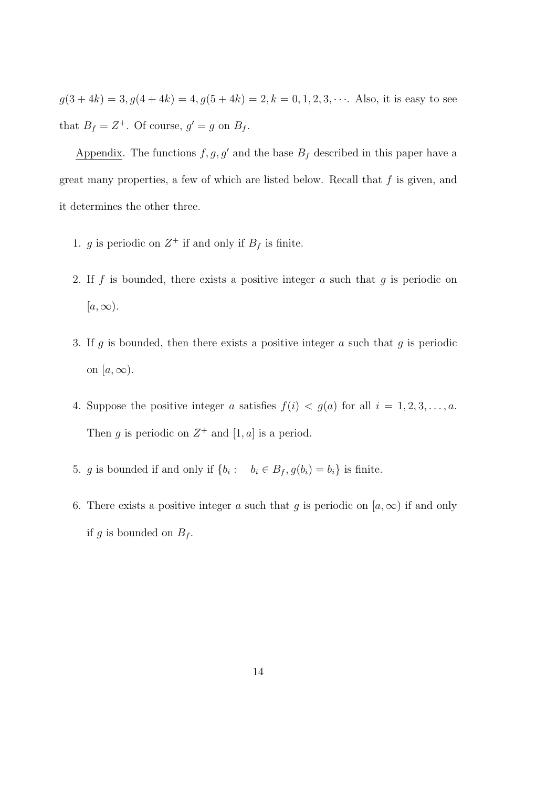$g(3+4k) = 3, g(4+4k) = 4, g(5+4k) = 2, k = 0, 1, 2, 3, \cdots$ . Also, it is easy to see that  $B_f = Z^+$ . Of course,  $g' = g$  on  $B_f$ .

Appendix. The functions  $f, g, g'$  and the base  $B_f$  described in this paper have a great many properties, a few of which are listed below. Recall that  $f$  is given, and it determines the other three.

- 1. g is periodic on  $Z^+$  if and only if  $B_f$  is finite.
- 2. If f is bounded, there exists a positive integer a such that  $g$  is periodic on  $[a,\infty).$
- 3. If q is bounded, then there exists a positive integer  $a$  such that  $q$  is periodic on  $[a,\infty)$ .
- 4. Suppose the positive integer a satisfies  $f(i) < g(a)$  for all  $i = 1, 2, 3, \ldots, a$ . Then g is periodic on  $Z^+$  and  $[1, a]$  is a period.
- 5. g is bounded if and only if  $\{b_i: b_i \in B_f, g(b_i) = b_i\}$  is finite.
- 6. There exists a positive integer a such that q is periodic on  $[a,\infty)$  if and only if g is bounded on  $B_f$ .